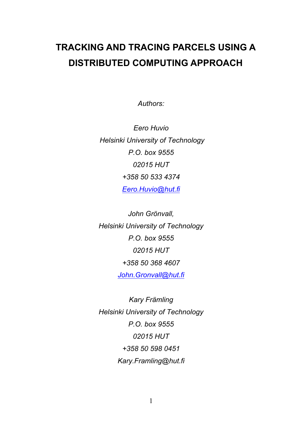# **TRACKING AND TRACING PARCELS USING A DISTRIBUTED COMPUTING APPROACH**

*Authors:* 

*Eero Huvio Helsinki University of Technology P.O. box 9555 02015 HUT +358 50 533 4374 [Eero.Huvio@hut.fi](mailto:Eero.Huvio@hut.fi)*

*John Grönvall, Helsinki University of Technology P.O. box 9555 02015 HUT +358 50 368 4607 [John.Gronvall@hut.fi](mailto:John.Gronvall@hut.fi)*

*Kary Främling Helsinki University of Technology P.O. box 9555 02015 HUT +358 50 598 0451 Kary.Framling@hut.fi*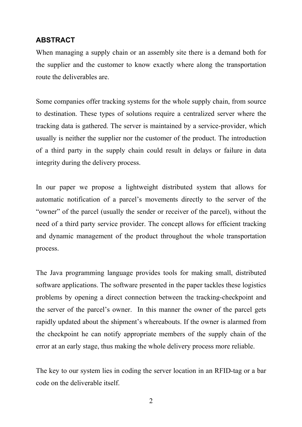# **ABSTRACT**

When managing a supply chain or an assembly site there is a demand both for the supplier and the customer to know exactly where along the transportation route the deliverables are.

Some companies offer tracking systems for the whole supply chain, from source to destination. These types of solutions require a centralized server where the tracking data is gathered. The server is maintained by a service-provider, which usually is neither the supplier nor the customer of the product. The introduction of a third party in the supply chain could result in delays or failure in data integrity during the delivery process.

In our paper we propose a lightweight distributed system that allows for automatic notification of a parcel's movements directly to the server of the "owner" of the parcel (usually the sender or receiver of the parcel), without the need of a third party service provider. The concept allows for efficient tracking and dynamic management of the product throughout the whole transportation process.

The Java programming language provides tools for making small, distributed software applications. The software presented in the paper tackles these logistics problems by opening a direct connection between the tracking-checkpoint and the server of the parcel's owner. In this manner the owner of the parcel gets rapidly updated about the shipment's whereabouts. If the owner is alarmed from the checkpoint he can notify appropriate members of the supply chain of the error at an early stage, thus making the whole delivery process more reliable.

The key to our system lies in coding the server location in an RFID-tag or a bar code on the deliverable itself.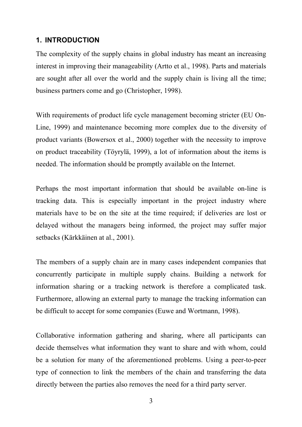# **1. INTRODUCTION**

The complexity of the supply chains in global industry has meant an increasing interest in improving their manageability (Artto et al., 1998). Parts and materials are sought after all over the world and the supply chain is living all the time; business partners come and go (Christopher, 1998).

With requirements of product life cycle management becoming stricter (EU On-Line, 1999) and maintenance becoming more complex due to the diversity of product variants (Bowersox et al., 2000) together with the necessity to improve on product traceability (Töyrylä, 1999), a lot of information about the items is needed. The information should be promptly available on the Internet.

Perhaps the most important information that should be available on-line is tracking data. This is especially important in the project industry where materials have to be on the site at the time required; if deliveries are lost or delayed without the managers being informed, the project may suffer major setbacks (Kärkkäinen at al., 2001).

The members of a supply chain are in many cases independent companies that concurrently participate in multiple supply chains. Building a network for information sharing or a tracking network is therefore a complicated task. Furthermore, allowing an external party to manage the tracking information can be difficult to accept for some companies (Euwe and Wortmann, 1998).

Collaborative information gathering and sharing, where all participants can decide themselves what information they want to share and with whom, could be a solution for many of the aforementioned problems. Using a peer-to-peer type of connection to link the members of the chain and transferring the data directly between the parties also removes the need for a third party server.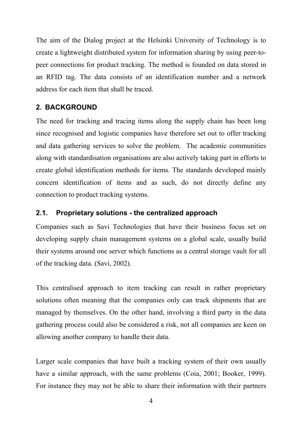The aim of the Dialog project at the Helsinki University of Technology is to create a lightweight distributed system for information sharing by using peer-topeer connections for product tracking. The method is founded on data stored in an RFID tag. The data consists of an identification number and a network address for each item that shall be traced.

# **2. BACKGROUND**

The need for tracking and tracing items along the supply chain has been long since recognised and logistic companies have therefore set out to offer tracking and data gathering services to solve the problem. The academic communities along with standardisation organisations are also actively taking part in efforts to create global identification methods for items. The standards developed mainly concern identification of items and as such, do not directly define any connection to product tracking systems.

## **2.1. Proprietary solutions - the centralized approach**

Companies such as Savi Technologies that have their business focus set on developing supply chain management systems on a global scale, usually build their systems around one server which functions as a central storage vault for all of the tracking data. (Savi, 2002).

This centralised approach to item tracking can result in rather proprietary solutions often meaning that the companies only can track shipments that are managed by themselves. On the other hand, involving a third party in the data gathering process could also be considered a risk, not all companies are keen on allowing another company to handle their data.

Larger scale companies that have built a tracking system of their own usually have a similar approach, with the same problems (Coia, 2001; Booker, 1999). For instance they may not be able to share their information with their partners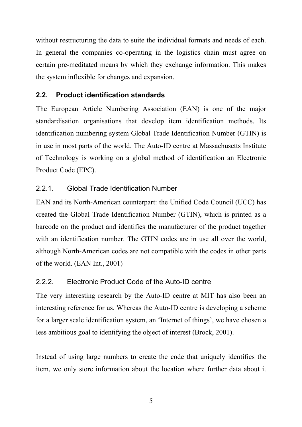without restructuring the data to suite the individual formats and needs of each. In general the companies co-operating in the logistics chain must agree on certain pre-meditated means by which they exchange information. This makes the system inflexible for changes and expansion.

# **2.2. Product identification standards**

The European Article Numbering Association (EAN) is one of the major standardisation organisations that develop item identification methods. Its identification numbering system Global Trade Identification Number (GTIN) is in use in most parts of the world. The Auto-ID centre at Massachusetts Institute of Technology is working on a global method of identification an Electronic Product Code (EPC).

# 2.2.1. Global Trade Identification Number

EAN and its North-American counterpart: the Unified Code Council (UCC) has created the Global Trade Identification Number (GTIN), which is printed as a barcode on the product and identifies the manufacturer of the product together with an identification number. The GTIN codes are in use all over the world, although North-American codes are not compatible with the codes in other parts of the world. (EAN Int., 2001)

## 2.2.2. Electronic Product Code of the Auto-ID centre

The very interesting research by the Auto-ID centre at MIT has also been an interesting reference for us. Whereas the Auto-ID centre is developing a scheme for a larger scale identification system, an 'Internet of things', we have chosen a less ambitious goal to identifying the object of interest (Brock, 2001).

Instead of using large numbers to create the code that uniquely identifies the item, we only store information about the location where further data about it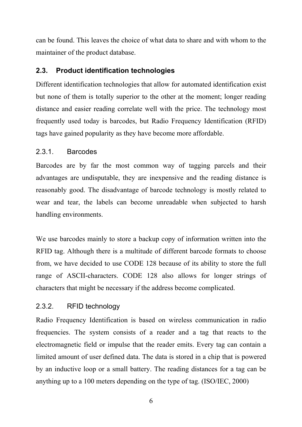can be found. This leaves the choice of what data to share and with whom to the maintainer of the product database.

# **2.3. Product identification technologies**

Different identification technologies that allow for automated identification exist but none of them is totally superior to the other at the moment; longer reading distance and easier reading correlate well with the price. The technology most frequently used today is barcodes, but Radio Frequency Identification (RFID) tags have gained popularity as they have become more affordable.

# 2.3.1. Barcodes

Barcodes are by far the most common way of tagging parcels and their advantages are undisputable, they are inexpensive and the reading distance is reasonably good. The disadvantage of barcode technology is mostly related to wear and tear, the labels can become unreadable when subjected to harsh handling environments.

We use barcodes mainly to store a backup copy of information written into the RFID tag. Although there is a multitude of different barcode formats to choose from, we have decided to use CODE 128 because of its ability to store the full range of ASCII-characters. CODE 128 also allows for longer strings of characters that might be necessary if the address become complicated.

# 2.3.2. RFID technology

Radio Frequency Identification is based on wireless communication in radio frequencies. The system consists of a reader and a tag that reacts to the electromagnetic field or impulse that the reader emits. Every tag can contain a limited amount of user defined data. The data is stored in a chip that is powered by an inductive loop or a small battery. The reading distances for a tag can be anything up to a 100 meters depending on the type of tag. (ISO/IEC, 2000)

<sup>6</sup>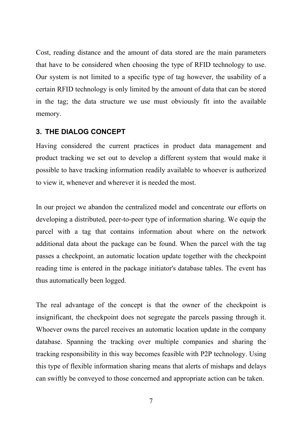Cost, reading distance and the amount of data stored are the main parameters that have to be considered when choosing the type of RFID technology to use. Our system is not limited to a specific type of tag however, the usability of a certain RFID technology is only limited by the amount of data that can be stored in the tag; the data structure we use must obviously fit into the available memory.

#### **3. THE DIALOG CONCEPT**

Having considered the current practices in product data management and product tracking we set out to develop a different system that would make it possible to have tracking information readily available to whoever is authorized to view it, whenever and wherever it is needed the most.

In our project we abandon the centralized model and concentrate our efforts on developing a distributed, peer-to-peer type of information sharing. We equip the parcel with a tag that contains information about where on the network additional data about the package can be found. When the parcel with the tag passes a checkpoint, an automatic location update together with the checkpoint reading time is entered in the package initiator's database tables. The event has thus automatically been logged.

The real advantage of the concept is that the owner of the checkpoint is insignificant, the checkpoint does not segregate the parcels passing through it. Whoever owns the parcel receives an automatic location update in the company database. Spanning the tracking over multiple companies and sharing the tracking responsibility in this way becomes feasible with P2P technology. Using this type of flexible information sharing means that alerts of mishaps and delays can swiftly be conveyed to those concerned and appropriate action can be taken.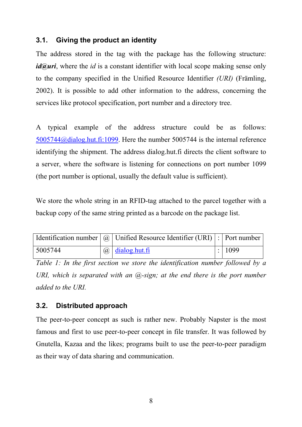## **3.1. Giving the product an identity**

The address stored in the tag with the package has the following structure: *id@uri*, where the *id* is a constant identifier with local scope making sense only to the company specified in the Unified Resource Identifier *(URI)* (Främling, 2002). It is possible to add other information to the address, concerning the services like protocol specification, port number and a directory tree.

A typical example of the address structure could be as follows: [5005744@dialog.hut.fi:1099](mailto:5005744@dialog.hut.fi:1099). Here the number 5005744 is the internal reference identifying the shipment. The address dialog.hut.fi directs the client software to a server, where the software is listening for connections on port number 1099 (the port number is optional, usually the default value is sufficient).

We store the whole string in an RFID-tag attached to the parcel together with a backup copy of the same string printed as a barcode on the package list.

|         | Identification number $ Q $ Unified Resource Identifier (URI) : Port number |        |
|---------|-----------------------------------------------------------------------------|--------|
| 5005744 | $\omega$ $dialog.$ hut. fi                                                  | : 1099 |

*Table 1: In the first section we store the identification number followed by a URI, which is separated with an*  $(a)$ *-sign; at the end there is the port number added to the URI.* 

#### **3.2. Distributed approach**

The peer-to-peer concept as such is rather new. Probably Napster is the most famous and first to use peer-to-peer concept in file transfer. It was followed by Gnutella, Kazaa and the likes; programs built to use the peer-to-peer paradigm as their way of data sharing and communication.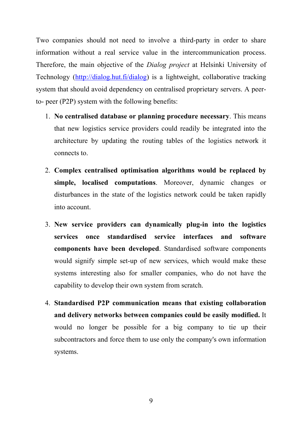Two companies should not need to involve a third-party in order to share information without a real service value in the intercommunication process. Therefore, the main objective of the *Dialog project* at Helsinki University of Technology [\(http://dialog.hut.fi/dialog\)](http://dialog.hut.fi/dialog) is a lightweight, collaborative tracking system that should avoid dependency on centralised proprietary servers. A peerto- peer (P2P) system with the following benefits:

- 1. **No centralised database or planning procedure necessary**. This means that new logistics service providers could readily be integrated into the architecture by updating the routing tables of the logistics network it connects to.
- 2. **Complex centralised optimisation algorithms would be replaced by simple, localised computations**. Moreover, dynamic changes or disturbances in the state of the logistics network could be taken rapidly into account.
- 3. **New service providers can dynamically plug-in into the logistics services once standardised service interfaces and software components have been developed**. Standardised software components would signify simple set-up of new services, which would make these systems interesting also for smaller companies, who do not have the capability to develop their own system from scratch.
- 4. **Standardised P2P communication means that existing collaboration and delivery networks between companies could be easily modified.** It would no longer be possible for a big company to tie up their subcontractors and force them to use only the company's own information systems.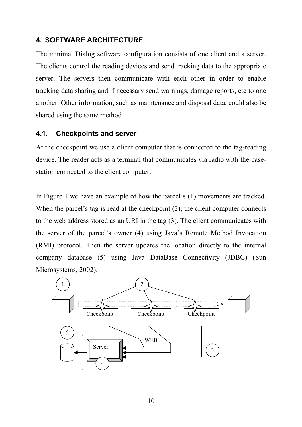# **4. SOFTWARE ARCHITECTURE**

The minimal Dialog software configuration consists of one client and a server. The clients control the reading devices and send tracking data to the appropriate server. The servers then communicate with each other in order to enable tracking data sharing and if necessary send warnings, damage reports, etc to one another. Other information, such as maintenance and disposal data, could also be shared using the same method

### **4.1. Checkpoints and server**

At the checkpoint we use a client computer that is connected to the tag-reading device. The reader acts as a terminal that communicates via radio with the basestation connected to the client computer.

In Figure 1 we have an example of how the parcel's (1) movements are tracked. When the parcel's tag is read at the checkpoint (2), the client computer connects to the web address stored as an URI in the tag (3). The client communicates with the server of the parcel's owner (4) using Java's Remote Method Invocation (RMI) protocol. Then the server updates the location directly to the internal company database (5) using Java DataBase Connectivity (JDBC) (Sun Microsystems, 2002).

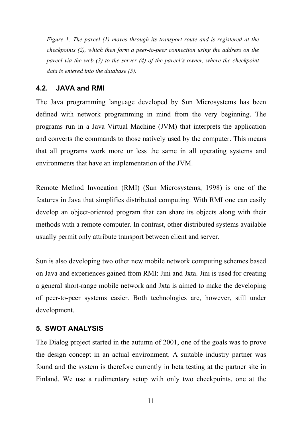*Figure 1: The parcel (1) moves through its transport route and is registered at the checkpoints (2), which then form a peer-to-peer connection using the address on the parcel via the web (3) to the server (4) of the parcel's owner, where the checkpoint data is entered into the database (5).*

#### **4.2. JAVA and RMI**

The Java programming language developed by Sun Microsystems has been defined with network programming in mind from the very beginning. The programs run in a Java Virtual Machine (JVM) that interprets the application and converts the commands to those natively used by the computer. This means that all programs work more or less the same in all operating systems and environments that have an implementation of the JVM.

Remote Method Invocation (RMI) (Sun Microsystems, 1998) is one of the features in Java that simplifies distributed computing. With RMI one can easily develop an object-oriented program that can share its objects along with their methods with a remote computer. In contrast, other distributed systems available usually permit only attribute transport between client and server.

Sun is also developing two other new mobile network computing schemes based on Java and experiences gained from RMI: Jini and Jxta. Jini is used for creating a general short-range mobile network and Jxta is aimed to make the developing of peer-to-peer systems easier. Both technologies are, however, still under development.

## **5. SWOT ANALYSIS**

The Dialog project started in the autumn of 2001, one of the goals was to prove the design concept in an actual environment. A suitable industry partner was found and the system is therefore currently in beta testing at the partner site in Finland. We use a rudimentary setup with only two checkpoints, one at the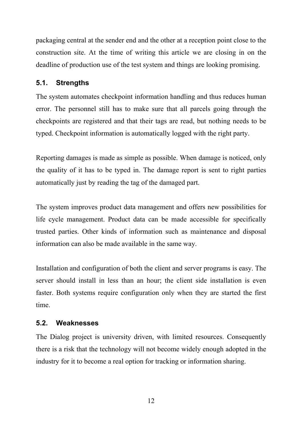packaging central at the sender end and the other at a reception point close to the construction site. At the time of writing this article we are closing in on the deadline of production use of the test system and things are looking promising.

# **5.1. Strengths**

The system automates checkpoint information handling and thus reduces human error. The personnel still has to make sure that all parcels going through the checkpoints are registered and that their tags are read, but nothing needs to be typed. Checkpoint information is automatically logged with the right party.

Reporting damages is made as simple as possible. When damage is noticed, only the quality of it has to be typed in. The damage report is sent to right parties automatically just by reading the tag of the damaged part.

The system improves product data management and offers new possibilities for life cycle management. Product data can be made accessible for specifically trusted parties. Other kinds of information such as maintenance and disposal information can also be made available in the same way.

Installation and configuration of both the client and server programs is easy. The server should install in less than an hour; the client side installation is even faster. Both systems require configuration only when they are started the first time.

## **5.2. Weaknesses**

The Dialog project is university driven, with limited resources. Consequently there is a risk that the technology will not become widely enough adopted in the industry for it to become a real option for tracking or information sharing.

12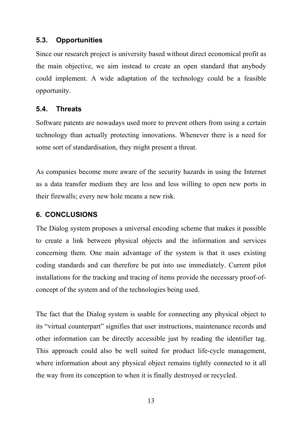## **5.3. Opportunities**

Since our research project is university based without direct economical profit as the main objective, we aim instead to create an open standard that anybody could implement. A wide adaptation of the technology could be a feasible opportunity.

# **5.4. Threats**

Software patents are nowadays used more to prevent others from using a certain technology than actually protecting innovations. Whenever there is a need for some sort of standardisation, they might present a threat.

As companies become more aware of the security hazards in using the Internet as a data transfer medium they are less and less willing to open new ports in their firewalls; every new hole means a new risk.

# **6. CONCLUSIONS**

The Dialog system proposes a universal encoding scheme that makes it possible to create a link between physical objects and the information and services concerning them. One main advantage of the system is that it uses existing coding standards and can therefore be put into use immediately. Current pilot installations for the tracking and tracing of items provide the necessary proof-ofconcept of the system and of the technologies being used.

The fact that the Dialog system is usable for connecting any physical object to its "virtual counterpart" signifies that user instructions, maintenance records and other information can be directly accessible just by reading the identifier tag. This approach could also be well suited for product life-cycle management, where information about any physical object remains tightly connected to it all the way from its conception to when it is finally destroyed or recycled.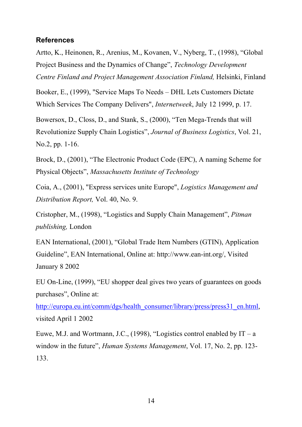#### **References**

Artto, K., Heinonen, R., Arenius, M., Kovanen, V., Nyberg, T., (1998), "Global Project Business and the Dynamics of Change", *Technology Development Centre Finland and Project Management Association Finland,* Helsinki, Finland

Booker, E., (1999), "Service Maps To Needs – DHL Lets Customers Dictate Which Services The Company Delivers", *Internetweek*, July 12 1999, p. 17.

Bowersox, D., Closs, D., and Stank, S., (2000), "Ten Mega-Trends that will Revolutionize Supply Chain Logistics", *Journal of Business Logistics*, Vol. 21, No.2, pp. 1-16.

Brock, D., (2001), "The Electronic Product Code (EPC), A naming Scheme for Physical Objects", *Massachusetts Institute of Technology*

Coia, A., (2001), "Express services unite Europe", *Logistics Management and Distribution Report,* Vol. 40, No. 9.

Cristopher, M., (1998), "Logistics and Supply Chain Management", *Pitman publishing,* London

EAN International, (2001), "Global Trade Item Numbers (GTIN), Application Guideline", EAN International, Online at: http://www.ean-int.org/, Visited January 8 2002

EU On-Line, (1999), "EU shopper deal gives two years of guarantees on goods purchases", Online at:

[http://europa.eu.int/comm/dgs/health\\_consumer/library/press/press31\\_en.html,](http://europa.eu.int/comm/dgs/health_consumer/library/press/press31_en.html) visited April 1 2002

Euwe, M.J. and Wortmann, J.C., (1998), "Logistics control enabled by  $IT - a$ window in the future", *Human Systems Management*, Vol. 17, No. 2, pp. 123- 133.